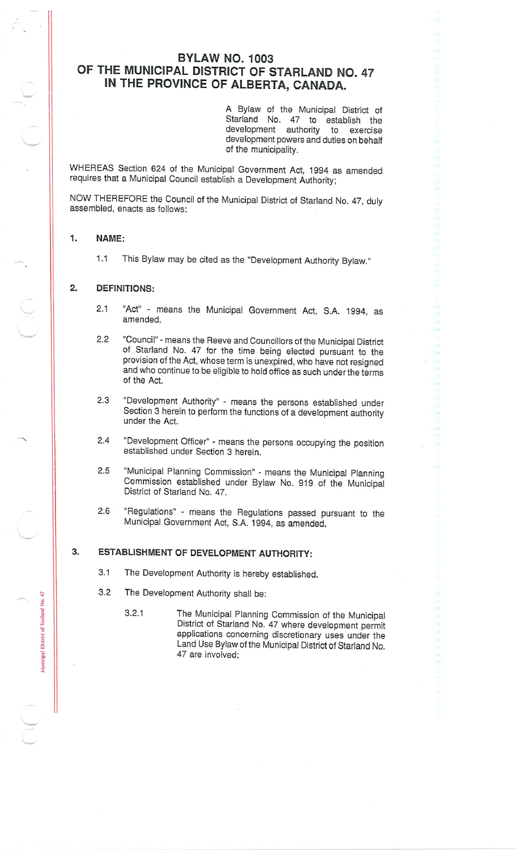# **BYLAW NO. 1003 OF THE MUNICIPAL DISTRICT OF STARLAND NO. 47 IN THE PROVINCE OF ALBERTA, CANADA.**

<sup>A</sup> Bylaw of the Municipal District of Starland No. 47 to establish the development authority to exercise development powers and duties on behalf of the municipality.

WHEREAS Section <sup>624</sup> of the Municipal Government Act, <sup>1994</sup> as amended requires that <sup>a</sup> Municipal Council establish <sup>a</sup> Development Authority;

NOW THEREFORE the Council of the Municipal District of Starland No. <sup>47</sup>, duly assembled, enacts as follows:

### **1. NAME:**

.<br>2

of Sta

icipal

1.1 This Bylaw may be cited as the "Development Authority Bylaw."

### **2. DEFINITIONS:**

- "Act" means the Municipal Government Act, S.A. <sup>1994</sup>, as amended. 2.1
- 2.2 "Council"- means the Reeve and Councillors of the Municipal District of Starland No. <sup>47</sup> for the time being elected pursuant to the provision of the Act, whose term is unexpired, who have not resigned and who continue to be eligible to hold office as such under the terms of the Act.
- "Development Authority" means the persons established under Section<sup>'</sup>3 herein to perform the functions of a development authority under the Act. 2.3
- 2.4 "Development Officer" means the persons occupying the position established under Section 3 herein.
- 2.5 "Municipal Planning Commission" means the Municipal Planning Commission established under Bylaw No. <sup>919</sup> of the Municipal District of Starland No. 47.
- 2.6 "Regulations" means the Regulations passed pursuant to the Municipal Government Act, S.A. 1994, as amended.

## 3. **ESTABLISHMENT OF DEVELOPMENT AUTHORITY:**

- 3.1 The Development Authority is hereby established.
- 3.2 The Development Authority shall be:
	- The Municipal Planning Commission of the Municipal District of Starland No. <sup>47</sup> where development permit applications concerning discretionary uses under the Land Use Bylaw of the Municipal District of Starland No. 47 are involved; 3.2.1